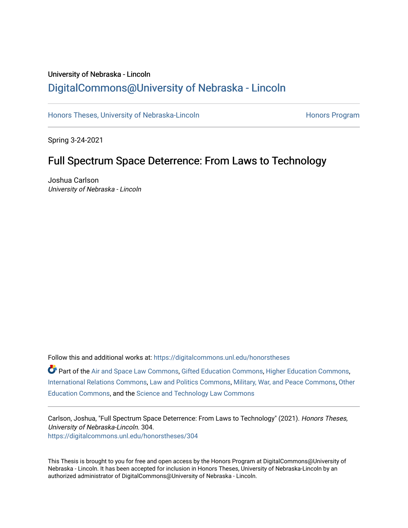### University of Nebraska - Lincoln [DigitalCommons@University of Nebraska - Lincoln](https://digitalcommons.unl.edu/)

[Honors Theses, University of Nebraska-Lincoln](https://digitalcommons.unl.edu/honorstheses) **Honors Program** Honors Program

Spring 3-24-2021

### Full Spectrum Space Deterrence: From Laws to Technology

Joshua Carlson University of Nebraska - Lincoln

Follow this and additional works at: [https://digitalcommons.unl.edu/honorstheses](https://digitalcommons.unl.edu/honorstheses?utm_source=digitalcommons.unl.edu%2Fhonorstheses%2F304&utm_medium=PDF&utm_campaign=PDFCoverPages)

Part of the [Air and Space Law Commons](http://network.bepress.com/hgg/discipline/830?utm_source=digitalcommons.unl.edu%2Fhonorstheses%2F304&utm_medium=PDF&utm_campaign=PDFCoverPages), [Gifted Education Commons,](http://network.bepress.com/hgg/discipline/1048?utm_source=digitalcommons.unl.edu%2Fhonorstheses%2F304&utm_medium=PDF&utm_campaign=PDFCoverPages) [Higher Education Commons,](http://network.bepress.com/hgg/discipline/1245?utm_source=digitalcommons.unl.edu%2Fhonorstheses%2F304&utm_medium=PDF&utm_campaign=PDFCoverPages) [International Relations Commons](http://network.bepress.com/hgg/discipline/389?utm_source=digitalcommons.unl.edu%2Fhonorstheses%2F304&utm_medium=PDF&utm_campaign=PDFCoverPages), [Law and Politics Commons](http://network.bepress.com/hgg/discipline/867?utm_source=digitalcommons.unl.edu%2Fhonorstheses%2F304&utm_medium=PDF&utm_campaign=PDFCoverPages), [Military, War, and Peace Commons](http://network.bepress.com/hgg/discipline/861?utm_source=digitalcommons.unl.edu%2Fhonorstheses%2F304&utm_medium=PDF&utm_campaign=PDFCoverPages), [Other](http://network.bepress.com/hgg/discipline/811?utm_source=digitalcommons.unl.edu%2Fhonorstheses%2F304&utm_medium=PDF&utm_campaign=PDFCoverPages)  [Education Commons,](http://network.bepress.com/hgg/discipline/811?utm_source=digitalcommons.unl.edu%2Fhonorstheses%2F304&utm_medium=PDF&utm_campaign=PDFCoverPages) and the [Science and Technology Law Commons](http://network.bepress.com/hgg/discipline/875?utm_source=digitalcommons.unl.edu%2Fhonorstheses%2F304&utm_medium=PDF&utm_campaign=PDFCoverPages) 

Carlson, Joshua, "Full Spectrum Space Deterrence: From Laws to Technology" (2021). Honors Theses, University of Nebraska-Lincoln. 304. [https://digitalcommons.unl.edu/honorstheses/304](https://digitalcommons.unl.edu/honorstheses/304?utm_source=digitalcommons.unl.edu%2Fhonorstheses%2F304&utm_medium=PDF&utm_campaign=PDFCoverPages)

This Thesis is brought to you for free and open access by the Honors Program at DigitalCommons@University of Nebraska - Lincoln. It has been accepted for inclusion in Honors Theses, University of Nebraska-Lincoln by an authorized administrator of DigitalCommons@University of Nebraska - Lincoln.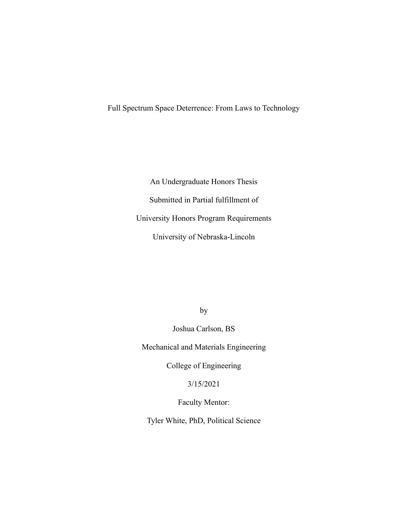Full Spectrum Space Deterrence: From Laws to Technology

An Undergraduate Honors Thesis Submitted in Partial fulfillment of University Honors Program Requirements University of Nebraska-Lincoln

by

Joshua Carlson, BS

Mechanical and Materials Engineering

College of Engineering

3/15/2021

Faculty Mentor:

Tyler White, PhD, Political Science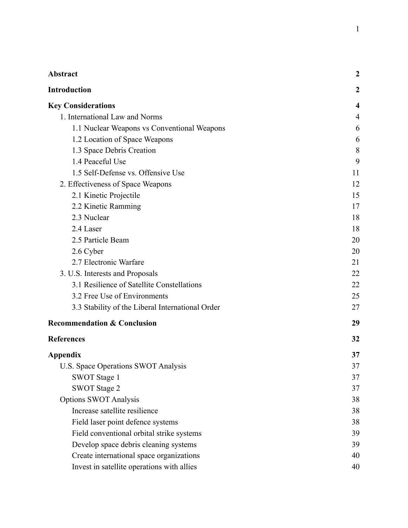| <b>Abstract</b>                                  | 2                |
|--------------------------------------------------|------------------|
| <b>Introduction</b>                              | $\boldsymbol{2}$ |
| <b>Key Considerations</b>                        | 4                |
| 1. International Law and Norms                   | 4                |
| 1.1 Nuclear Weapons vs Conventional Weapons      | 6                |
| 1.2 Location of Space Weapons                    | 6                |
| 1.3 Space Debris Creation                        | 8                |
| 1.4 Peaceful Use                                 | 9                |
| 1.5 Self-Defense vs. Offensive Use               | 11               |
| 2. Effectiveness of Space Weapons                | 12               |
| 2.1 Kinetic Projectile                           | 15               |
| 2.2 Kinetic Ramming                              | 17               |
| 2.3 Nuclear                                      | 18               |
| 2.4 Laser                                        | 18               |
| 2.5 Particle Beam                                | 20               |
| 2.6 Cyber                                        | 20               |
| 2.7 Electronic Warfare                           | 21               |
| 3. U.S. Interests and Proposals                  | 22               |
| 3.1 Resilience of Satellite Constellations       | 22               |
| 3.2 Free Use of Environments                     | 25               |
| 3.3 Stability of the Liberal International Order | 27               |
| <b>Recommendation &amp; Conclusion</b>           | 29               |
| <b>References</b>                                | 32               |
| Appendix                                         | 37               |
| U.S. Space Operations SWOT Analysis              | 37               |
| SWOT Stage 1                                     | 37               |
| <b>SWOT Stage 2</b>                              | 37               |
| <b>Options SWOT Analysis</b>                     | 38               |
| Increase satellite resilience                    | 38               |
| Field laser point defence systems                | 38               |
| Field conventional orbital strike systems        | 39               |
| Develop space debris cleaning systems            | 39               |
| Create international space organizations         | 40               |
| Invest in satellite operations with allies       | 40               |

1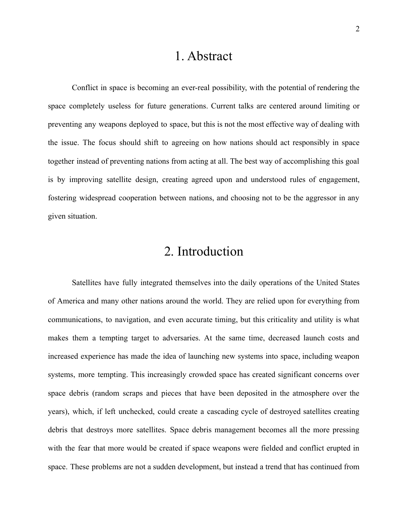### 1. Abstract

<span id="page-3-0"></span>Conflict in space is becoming an ever-real possibility, with the potential of rendering the space completely useless for future generations. Current talks are centered around limiting or preventing any weapons deployed to space, but this is not the most effective way of dealing with the issue. The focus should shift to agreeing on how nations should act responsibly in space together instead of preventing nations from acting at all. The best way of accomplishing this goal is by improving satellite design, creating agreed upon and understood rules of engagement, fostering widespread cooperation between nations, and choosing not to be the aggressor in any given situation.

## 2. Introduction

<span id="page-3-1"></span>Satellites have fully integrated themselves into the daily operations of the United States of America and many other nations around the world. They are relied upon for everything from communications, to navigation, and even accurate timing, but this criticality and utility is what makes them a tempting target to adversaries. At the same time, decreased launch costs and increased experience has made the idea of launching new systems into space, including weapon systems, more tempting. This increasingly crowded space has created significant concerns over space debris (random scraps and pieces that have been deposited in the atmosphere over the years), which, if left unchecked, could create a cascading cycle of destroyed satellites creating debris that destroys more satellites. Space debris management becomes all the more pressing with the fear that more would be created if space weapons were fielded and conflict erupted in space. These problems are not a sudden development, but instead a trend that has continued from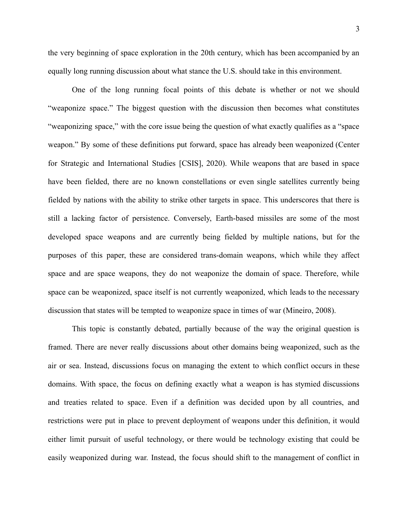the very beginning of space exploration in the 20th century, which has been accompanied by an

equally long running discussion about what stance the U.S. should take in this environment.

One of the long running focal points of this debate is whether or not we should "weaponize space." The biggest question with the discussion then becomes what constitutes "weaponizing space," with the core issue being the question of what exactly qualifies as a "space weapon." By some of these definitions put forward, space has already been weaponized (Center for Strategic and International Studies [CSIS], 2020). While weapons that are based in space have been fielded, there are no known constellations or even single satellites currently being fielded by nations with the ability to strike other targets in space. This underscores that there is still a lacking factor of persistence. Conversely, Earth-based missiles are some of the most developed space weapons and are currently being fielded by multiple nations, but for the purposes of this paper, these are considered trans-domain weapons, which while they affect space and are space weapons, they do not weaponize the domain of space. Therefore, while space can be weaponized, space itself is not currently weaponized, which leads to the necessary discussion that states will be tempted to weaponize space in times of war (Mineiro, 2008).

This topic is constantly debated, partially because of the way the original question is framed. There are never really discussions about other domains being weaponized, such as the air or sea. Instead, discussions focus on managing the extent to which conflict occurs in these domains. With space, the focus on defining exactly what a weapon is has stymied discussions and treaties related to space. Even if a definition was decided upon by all countries, and restrictions were put in place to prevent deployment of weapons under this definition, it would either limit pursuit of useful technology, or there would be technology existing that could be easily weaponized during war. Instead, the focus should shift to the management of conflict in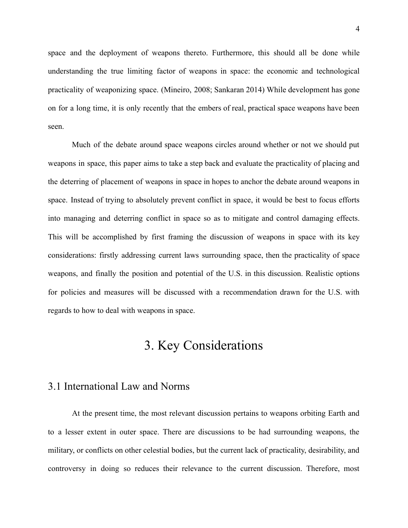space and the deployment of weapons thereto. Furthermore, this should all be done while understanding the true limiting factor of weapons in space: the economic and technological practicality of weaponizing space. (Mineiro, 2008; Sankaran 2014) While development has gone on for a long time, it is only recently that the embers of real, practical space weapons have been seen.

Much of the debate around space weapons circles around whether or not we should put weapons in space, this paper aims to take a step back and evaluate the practicality of placing and the deterring of placement of weapons in space in hopes to anchor the debate around weapons in space. Instead of trying to absolutely prevent conflict in space, it would be best to focus efforts into managing and deterring conflict in space so as to mitigate and control damaging effects. This will be accomplished by first framing the discussion of weapons in space with its key considerations: firstly addressing current laws surrounding space, then the practicality of space weapons, and finally the position and potential of the U.S. in this discussion. Realistic options for policies and measures will be discussed with a recommendation drawn for the U.S. with regards to how to deal with weapons in space.

## 3. Key Considerations

### <span id="page-5-1"></span><span id="page-5-0"></span>3.1 International Law and Norms

At the present time, the most relevant discussion pertains to weapons orbiting Earth and to a lesser extent in outer space. There are discussions to be had surrounding weapons, the military, or conflicts on other celestial bodies, but the current lack of practicality, desirability, and controversy in doing so reduces their relevance to the current discussion. Therefore, most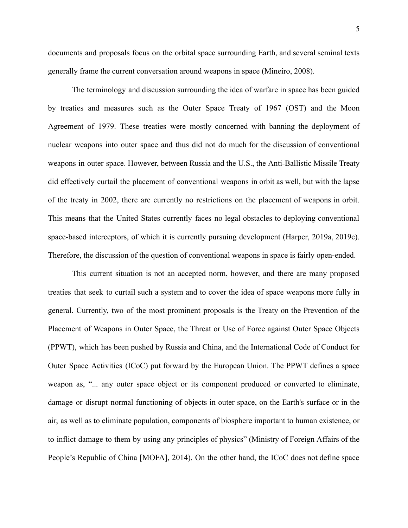documents and proposals focus on the orbital space surrounding Earth, and several seminal texts generally frame the current conversation around weapons in space (Mineiro, 2008).

The terminology and discussion surrounding the idea of warfare in space has been guided by treaties and measures such as the Outer Space Treaty of 1967 (OST) and the Moon Agreement of 1979. These treaties were mostly concerned with banning the deployment of nuclear weapons into outer space and thus did not do much for the discussion of conventional weapons in outer space. However, between Russia and the U.S., the Anti-Ballistic Missile Treaty did effectively curtail the placement of conventional weapons in orbit as well, but with the lapse of the treaty in 2002, there are currently no restrictions on the placement of weapons in orbit. This means that the United States currently faces no legal obstacles to deploying conventional space-based interceptors, of which it is currently pursuing development (Harper, 2019a, 2019c). Therefore, the discussion of the question of conventional weapons in space is fairly open-ended.

This current situation is not an accepted norm, however, and there are many proposed treaties that seek to curtail such a system and to cover the idea of space weapons more fully in general. Currently, two of the most prominent proposals is the Treaty on the Prevention of the Placement of Weapons in Outer Space, the Threat or Use of Force against Outer Space Objects (PPWT), which has been pushed by Russia and China, and the International Code of Conduct for Outer Space Activities (ICoC) put forward by the European Union. The PPWT defines a space weapon as, "... any outer space object or its component produced or converted to eliminate, damage or disrupt normal functioning of objects in outer space, on the Earth's surface or in the air, as well as to eliminate population, components of biosphere important to human existence, or to inflict damage to them by using any principles of physics" (Ministry of Foreign Affairs of the People's Republic of China [MOFA], 2014). On the other hand, the ICoC does not define space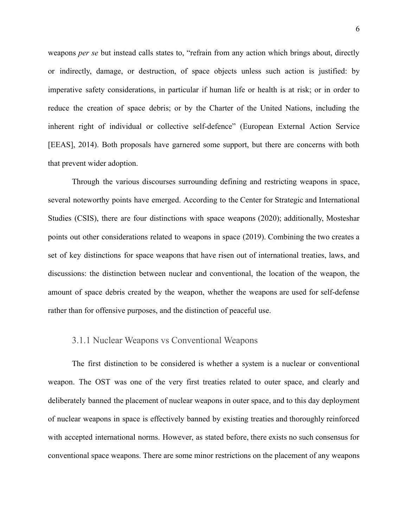weapons *per se* but instead calls states to, "refrain from any action which brings about, directly or indirectly, damage, or destruction, of space objects unless such action is justified: by imperative safety considerations, in particular if human life or health is at risk; or in order to reduce the creation of space debris; or by the Charter of the United Nations, including the inherent right of individual or collective self-defence" (European External Action Service [EEAS], 2014). Both proposals have garnered some support, but there are concerns with both that prevent wider adoption.

Through the various discourses surrounding defining and restricting weapons in space, several noteworthy points have emerged. According to the Center for Strategic and International Studies (CSIS), there are four distinctions with space weapons (2020); additionally, Mosteshar points out other considerations related to weapons in space (2019). Combining the two creates a set of key distinctions for space weapons that have risen out of international treaties, laws, and discussions: the distinction between nuclear and conventional, the location of the weapon, the amount of space debris created by the weapon, whether the weapons are used for self-defense rather than for offensive purposes, and the distinction of peaceful use.

#### <span id="page-7-0"></span>3.1.1 Nuclear Weapons vs Conventional Weapons

The first distinction to be considered is whether a system is a nuclear or conventional weapon. The OST was one of the very first treaties related to outer space, and clearly and deliberately banned the placement of nuclear weapons in outer space, and to this day deployment of nuclear weapons in space is effectively banned by existing treaties and thoroughly reinforced with accepted international norms. However, as stated before, there exists no such consensus for conventional space weapons. There are some minor restrictions on the placement of any weapons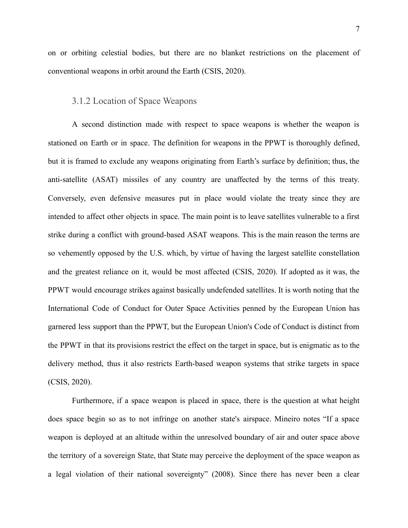on or orbiting celestial bodies, but there are no blanket restrictions on the placement of conventional weapons in orbit around the Earth (CSIS, 2020).

#### <span id="page-8-0"></span>3.1.2 Location of Space Weapons

A second distinction made with respect to space weapons is whether the weapon is stationed on Earth or in space. The definition for weapons in the PPWT is thoroughly defined, but it is framed to exclude any weapons originating from Earth's surface by definition; thus, the anti-satellite (ASAT) missiles of any country are unaffected by the terms of this treaty. Conversely, even defensive measures put in place would violate the treaty since they are intended to affect other objects in space. The main point is to leave satellites vulnerable to a first strike during a conflict with ground-based ASAT weapons. This is the main reason the terms are so vehemently opposed by the U.S. which, by virtue of having the largest satellite constellation and the greatest reliance on it, would be most affected (CSIS, 2020). If adopted as it was, the PPWT would encourage strikes against basically undefended satellites. It is worth noting that the International Code of Conduct for Outer Space Activities penned by the European Union has garnered less support than the PPWT, but the European Union's Code of Conduct is distinct from the PPWT in that its provisions restrict the effect on the target in space, but is enigmatic as to the delivery method, thus it also restricts Earth-based weapon systems that strike targets in space (CSIS, 2020).

Furthermore, if a space weapon is placed in space, there is the question at what height does space begin so as to not infringe on another state's airspace. Mineiro notes "If a space weapon is deployed at an altitude within the unresolved boundary of air and outer space above the territory of a sovereign State, that State may perceive the deployment of the space weapon as a legal violation of their national sovereignty" (2008). Since there has never been a clear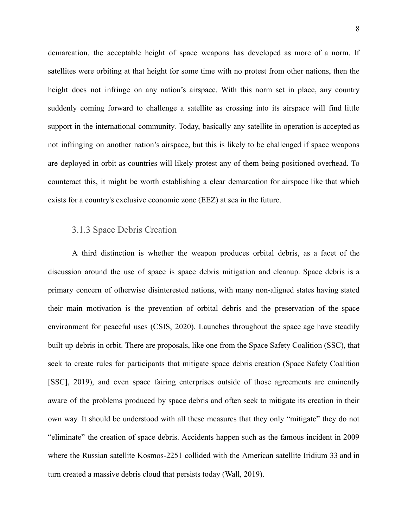demarcation, the acceptable height of space weapons has developed as more of a norm. If satellites were orbiting at that height for some time with no protest from other nations, then the height does not infringe on any nation's airspace. With this norm set in place, any country suddenly coming forward to challenge a satellite as crossing into its airspace will find little support in the international community. Today, basically any satellite in operation is accepted as not infringing on another nation's airspace, but this is likely to be challenged if space weapons are deployed in orbit as countries will likely protest any of them being positioned overhead. To counteract this, it might be worth establishing a clear demarcation for airspace like that which exists for a country's exclusive economic zone (EEZ) at sea in the future.

#### <span id="page-9-0"></span>3.1.3 Space Debris Creation

A third distinction is whether the weapon produces orbital debris, as a facet of the discussion around the use of space is space debris mitigation and cleanup. Space debris is a primary concern of otherwise disinterested nations, with many non-aligned states having stated their main motivation is the prevention of orbital debris and the preservation of the space environment for peaceful uses (CSIS, 2020). Launches throughout the space age have steadily built up debris in orbit. There are proposals, like one from the Space Safety Coalition (SSC), that seek to create rules for participants that mitigate space debris creation (Space Safety Coalition [SSC], 2019), and even space fairing enterprises outside of those agreements are eminently aware of the problems produced by space debris and often seek to mitigate its creation in their own way. It should be understood with all these measures that they only "mitigate" they do not "eliminate" the creation of space debris. Accidents happen such as the famous incident in 2009 where the Russian satellite Kosmos-2251 collided with the American satellite Iridium 33 and in turn created a massive debris cloud that persists today (Wall, 2019).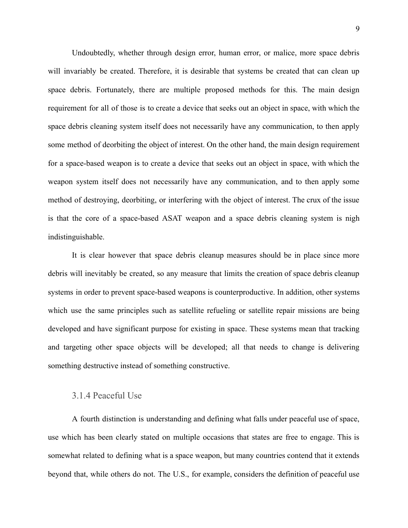Undoubtedly, whether through design error, human error, or malice, more space debris will invariably be created. Therefore, it is desirable that systems be created that can clean up space debris. Fortunately, there are multiple proposed methods for this. The main design requirement for all of those is to create a device that seeks out an object in space, with which the space debris cleaning system itself does not necessarily have any communication, to then apply some method of deorbiting the object of interest. On the other hand, the main design requirement for a space-based weapon is to create a device that seeks out an object in space, with which the weapon system itself does not necessarily have any communication, and to then apply some method of destroying, deorbiting, or interfering with the object of interest. The crux of the issue is that the core of a space-based ASAT weapon and a space debris cleaning system is nigh indistinguishable.

It is clear however that space debris cleanup measures should be in place since more debris will inevitably be created, so any measure that limits the creation of space debris cleanup systems in order to prevent space-based weapons is counterproductive. In addition, other systems which use the same principles such as satellite refueling or satellite repair missions are being developed and have significant purpose for existing in space. These systems mean that tracking and targeting other space objects will be developed; all that needs to change is delivering something destructive instead of something constructive.

#### <span id="page-10-0"></span>3.1.4 Peaceful Use

A fourth distinction is understanding and defining what falls under peaceful use of space, use which has been clearly stated on multiple occasions that states are free to engage. This is somewhat related to defining what is a space weapon, but many countries contend that it extends beyond that, while others do not. The U.S., for example, considers the definition of peaceful use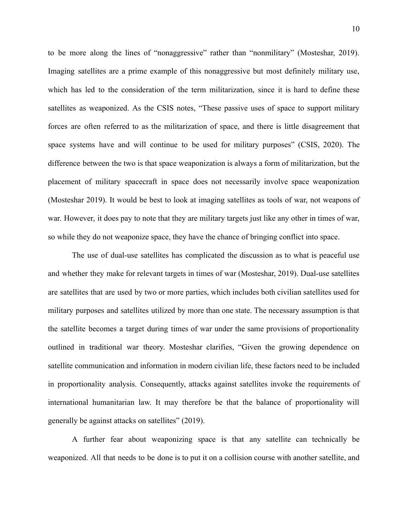to be more along the lines of "nonaggressive" rather than "nonmilitary" (Mosteshar, 2019). Imaging satellites are a prime example of this nonaggressive but most definitely military use, which has led to the consideration of the term militarization, since it is hard to define these satellites as weaponized. As the CSIS notes, "These passive uses of space to support military forces are often referred to as the militarization of space, and there is little disagreement that space systems have and will continue to be used for military purposes" (CSIS, 2020). The difference between the two is that space weaponization is always a form of militarization, but the placement of military spacecraft in space does not necessarily involve space weaponization (Mosteshar 2019). It would be best to look at imaging satellites as tools of war, not weapons of war. However, it does pay to note that they are military targets just like any other in times of war, so while they do not weaponize space, they have the chance of bringing conflict into space.

The use of dual-use satellites has complicated the discussion as to what is peaceful use and whether they make for relevant targets in times of war (Mosteshar, 2019). Dual-use satellites are satellites that are used by two or more parties, which includes both civilian satellites used for military purposes and satellites utilized by more than one state. The necessary assumption is that the satellite becomes a target during times of war under the same provisions of proportionality outlined in traditional war theory. Mosteshar clarifies, "Given the growing dependence on satellite communication and information in modern civilian life, these factors need to be included in proportionality analysis. Consequently, attacks against satellites invoke the requirements of international humanitarian law. It may therefore be that the balance of proportionality will generally be against attacks on satellites" (2019).

A further fear about weaponizing space is that any satellite can technically be weaponized. All that needs to be done is to put it on a collision course with another satellite, and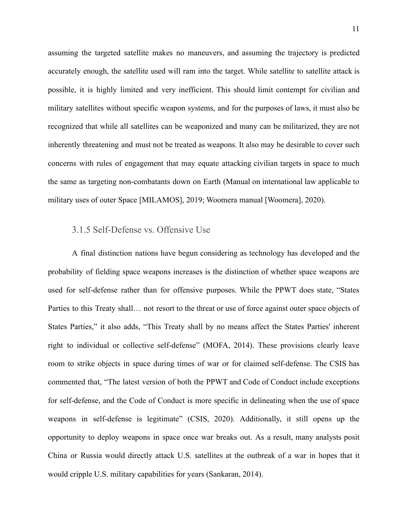assuming the targeted satellite makes no maneuvers, and assuming the trajectory is predicted accurately enough, the satellite used will ram into the target. While satellite to satellite attack is possible, it is highly limited and very inefficient. This should limit contempt for civilian and military satellites without specific weapon systems, and for the purposes of laws, it must also be recognized that while all satellites can be weaponized and many can be militarized, they are not inherently threatening and must not be treated as weapons. It also may be desirable to cover such concerns with rules of engagement that may equate attacking civilian targets in space to much the same as targeting non-combatants down on Earth (Manual on international law applicable to military uses of outer Space [MILAMOS], 2019; Woomera manual [Woomera], 2020).

#### <span id="page-12-0"></span>3.1.5 Self-Defense vs. Offensive Use

A final distinction nations have begun considering as technology has developed and the probability of fielding space weapons increases is the distinction of whether space weapons are used for self-defense rather than for offensive purposes. While the PPWT does state, "States Parties to this Treaty shall… not resort to the threat or use of force against outer space objects of States Parties," it also adds, "This Treaty shall by no means affect the States Parties' inherent right to individual or collective self-defense" (MOFA, 2014). These provisions clearly leave room to strike objects in space during times of war or for claimed self-defense. The CSIS has commented that, "The latest version of both the PPWT and Code of Conduct include exceptions for self-defense, and the Code of Conduct is more specific in delineating when the use of space weapons in self-defense is legitimate" (CSIS, 2020). Additionally, it still opens up the opportunity to deploy weapons in space once war breaks out. As a result, many analysts posit China or Russia would directly attack U.S. satellites at the outbreak of a war in hopes that it would cripple U.S. military capabilities for years (Sankaran, 2014).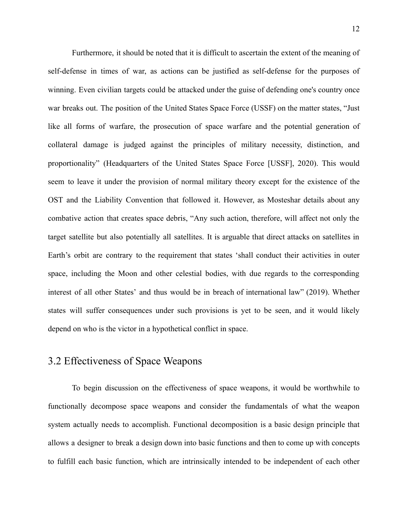Furthermore, it should be noted that it is difficult to ascertain the extent of the meaning of self-defense in times of war, as actions can be justified as self-defense for the purposes of winning. Even civilian targets could be attacked under the guise of defending one's country once war breaks out. The position of the United States Space Force (USSF) on the matter states, "Just like all forms of warfare, the prosecution of space warfare and the potential generation of collateral damage is judged against the principles of military necessity, distinction, and proportionality" (Headquarters of the United States Space Force [USSF], 2020). This would seem to leave it under the provision of normal military theory except for the existence of the OST and the Liability Convention that followed it. However, as Mosteshar details about any combative action that creates space debris, "Any such action, therefore, will affect not only the target satellite but also potentially all satellites. It is arguable that direct attacks on satellites in Earth's orbit are contrary to the requirement that states 'shall conduct their activities in outer space, including the Moon and other celestial bodies, with due regards to the corresponding interest of all other States' and thus would be in breach of international law" (2019). Whether states will suffer consequences under such provisions is yet to be seen, and it would likely depend on who is the victor in a hypothetical conflict in space.

### <span id="page-13-0"></span>3.2 Effectiveness of Space Weapons

To begin discussion on the effectiveness of space weapons, it would be worthwhile to functionally decompose space weapons and consider the fundamentals of what the weapon system actually needs to accomplish. Functional decomposition is a basic design principle that allows a designer to break a design down into basic functions and then to come up with concepts to fulfill each basic function, which are intrinsically intended to be independent of each other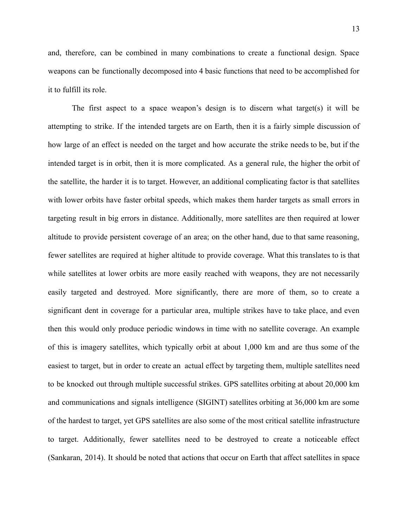and, therefore, can be combined in many combinations to create a functional design. Space weapons can be functionally decomposed into 4 basic functions that need to be accomplished for it to fulfill its role.

The first aspect to a space weapon's design is to discern what target(s) it will be attempting to strike. If the intended targets are on Earth, then it is a fairly simple discussion of how large of an effect is needed on the target and how accurate the strike needs to be, but if the intended target is in orbit, then it is more complicated. As a general rule, the higher the orbit of the satellite, the harder it is to target. However, an additional complicating factor is that satellites with lower orbits have faster orbital speeds, which makes them harder targets as small errors in targeting result in big errors in distance. Additionally, more satellites are then required at lower altitude to provide persistent coverage of an area; on the other hand, due to that same reasoning, fewer satellites are required at higher altitude to provide coverage. What this translates to is that while satellites at lower orbits are more easily reached with weapons, they are not necessarily easily targeted and destroyed. More significantly, there are more of them, so to create a significant dent in coverage for a particular area, multiple strikes have to take place, and even then this would only produce periodic windows in time with no satellite coverage. An example of this is imagery satellites, which typically orbit at about 1,000 km and are thus some of the easiest to target, but in order to create an actual effect by targeting them, multiple satellites need to be knocked out through multiple successful strikes. GPS satellites orbiting at about 20,000 km and communications and signals intelligence (SIGINT) satellites orbiting at 36,000 km are some of the hardest to target, yet GPS satellites are also some of the most critical satellite infrastructure to target. Additionally, fewer satellites need to be destroyed to create a noticeable effect (Sankaran, 2014). It should be noted that actions that occur on Earth that affect satellites in space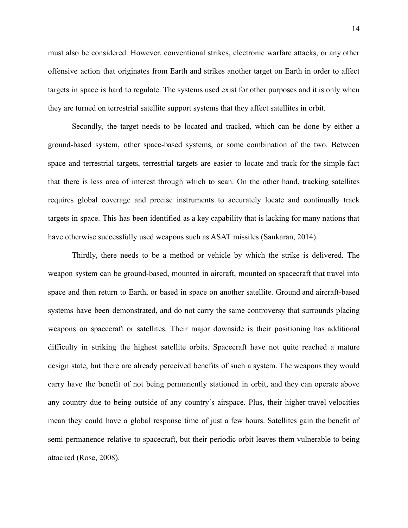must also be considered. However, conventional strikes, electronic warfare attacks, or any other offensive action that originates from Earth and strikes another target on Earth in order to affect targets in space is hard to regulate. The systems used exist for other purposes and it is only when they are turned on terrestrial satellite support systems that they affect satellites in orbit.

Secondly, the target needs to be located and tracked, which can be done by either a ground-based system, other space-based systems, or some combination of the two. Between space and terrestrial targets, terrestrial targets are easier to locate and track for the simple fact that there is less area of interest through which to scan. On the other hand, tracking satellites requires global coverage and precise instruments to accurately locate and continually track targets in space. This has been identified as a key capability that is lacking for many nations that have otherwise successfully used weapons such as ASAT missiles (Sankaran, 2014).

Thirdly, there needs to be a method or vehicle by which the strike is delivered. The weapon system can be ground-based, mounted in aircraft, mounted on spacecraft that travel into space and then return to Earth, or based in space on another satellite. Ground and aircraft-based systems have been demonstrated, and do not carry the same controversy that surrounds placing weapons on spacecraft or satellites. Their major downside is their positioning has additional difficulty in striking the highest satellite orbits. Spacecraft have not quite reached a mature design state, but there are already perceived benefits of such a system. The weapons they would carry have the benefit of not being permanently stationed in orbit, and they can operate above any country due to being outside of any country's airspace. Plus, their higher travel velocities mean they could have a global response time of just a few hours. Satellites gain the benefit of semi-permanence relative to spacecraft, but their periodic orbit leaves them vulnerable to being attacked (Rose, 2008).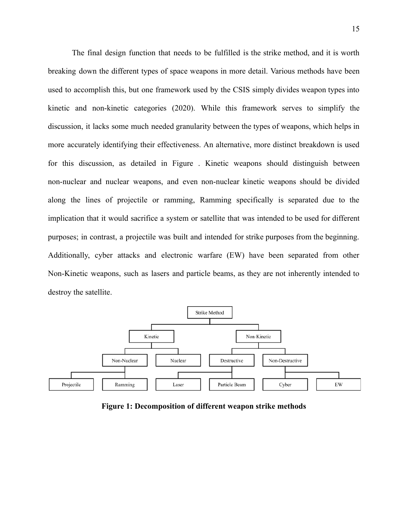The final design function that needs to be fulfilled is the strike method, and it is worth breaking down the different types of space weapons in more detail. Various methods have been used to accomplish this, but one framework used by the CSIS simply divides weapon types into kinetic and non-kinetic categories (2020). While this framework serves to simplify the discussion, it lacks some much needed granularity between the types of weapons, which helps in more accurately identifying their effectiveness. An alternative, more distinct breakdown is used for this discussion, as detailed in Figure . Kinetic weapons should distinguish between non-nuclear and nuclear weapons, and even non-nuclear kinetic weapons should be divided along the lines of projectile or ramming, Ramming specifically is separated due to the implication that it would sacrifice a system or satellite that was intended to be used for different purposes; in contrast, a projectile was built and intended for strike purposes from the beginning. Additionally, cyber attacks and electronic warfare (EW) have been separated from other Non-Kinetic weapons, such as lasers and particle beams, as they are not inherently intended to destroy the satellite.



**Figure 1: Decomposition of different weapon strike methods**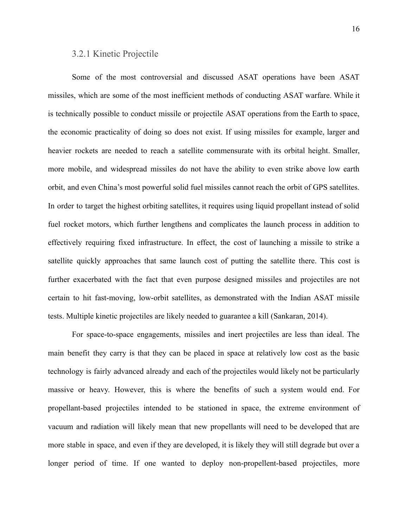#### <span id="page-17-0"></span>3.2.1 Kinetic Projectile

Some of the most controversial and discussed ASAT operations have been ASAT missiles, which are some of the most inefficient methods of conducting ASAT warfare. While it is technically possible to conduct missile or projectile ASAT operations from the Earth to space, the economic practicality of doing so does not exist. If using missiles for example, larger and heavier rockets are needed to reach a satellite commensurate with its orbital height. Smaller, more mobile, and widespread missiles do not have the ability to even strike above low earth orbit, and even China's most powerful solid fuel missiles cannot reach the orbit of GPS satellites. In order to target the highest orbiting satellites, it requires using liquid propellant instead of solid fuel rocket motors, which further lengthens and complicates the launch process in addition to effectively requiring fixed infrastructure. In effect, the cost of launching a missile to strike a satellite quickly approaches that same launch cost of putting the satellite there. This cost is further exacerbated with the fact that even purpose designed missiles and projectiles are not certain to hit fast-moving, low-orbit satellites, as demonstrated with the Indian ASAT missile tests. Multiple kinetic projectiles are likely needed to guarantee a kill (Sankaran, 2014).

For space-to-space engagements, missiles and inert projectiles are less than ideal. The main benefit they carry is that they can be placed in space at relatively low cost as the basic technology is fairly advanced already and each of the projectiles would likely not be particularly massive or heavy. However, this is where the benefits of such a system would end. For propellant-based projectiles intended to be stationed in space, the extreme environment of vacuum and radiation will likely mean that new propellants will need to be developed that are more stable in space, and even if they are developed, it is likely they will still degrade but over a longer period of time. If one wanted to deploy non-propellent-based projectiles, more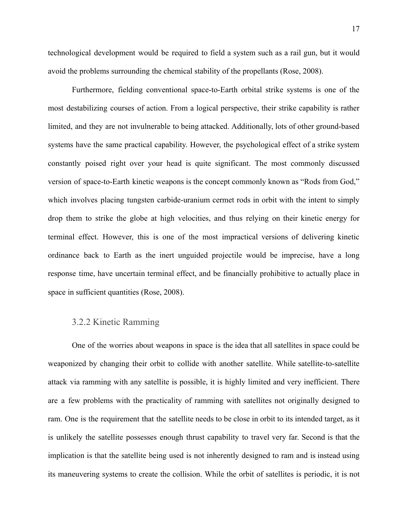technological development would be required to field a system such as a rail gun, but it would avoid the problems surrounding the chemical stability of the propellants (Rose, 2008).

Furthermore, fielding conventional space-to-Earth orbital strike systems is one of the most destabilizing courses of action. From a logical perspective, their strike capability is rather limited, and they are not invulnerable to being attacked. Additionally, lots of other ground-based systems have the same practical capability. However, the psychological effect of a strike system constantly poised right over your head is quite significant. The most commonly discussed version of space-to-Earth kinetic weapons is the concept commonly known as "Rods from God," which involves placing tungsten carbide-uranium cermet rods in orbit with the intent to simply drop them to strike the globe at high velocities, and thus relying on their kinetic energy for terminal effect. However, this is one of the most impractical versions of delivering kinetic ordinance back to Earth as the inert unguided projectile would be imprecise, have a long response time, have uncertain terminal effect, and be financially prohibitive to actually place in space in sufficient quantities (Rose, 2008).

#### <span id="page-18-0"></span>3.2.2 Kinetic Ramming

One of the worries about weapons in space is the idea that all satellites in space could be weaponized by changing their orbit to collide with another satellite. While satellite-to-satellite attack via ramming with any satellite is possible, it is highly limited and very inefficient. There are a few problems with the practicality of ramming with satellites not originally designed to ram. One is the requirement that the satellite needs to be close in orbit to its intended target, as it is unlikely the satellite possesses enough thrust capability to travel very far. Second is that the implication is that the satellite being used is not inherently designed to ram and is instead using its maneuvering systems to create the collision. While the orbit of satellites is periodic, it is not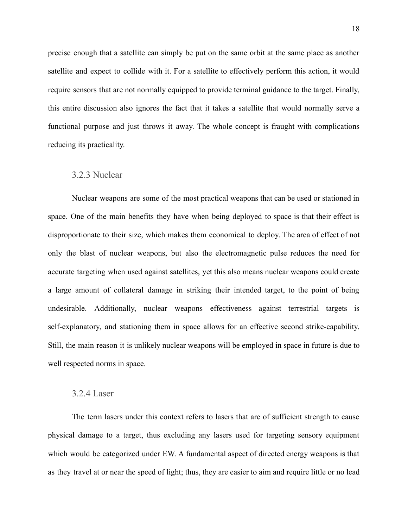precise enough that a satellite can simply be put on the same orbit at the same place as another satellite and expect to collide with it. For a satellite to effectively perform this action, it would require sensors that are not normally equipped to provide terminal guidance to the target. Finally, this entire discussion also ignores the fact that it takes a satellite that would normally serve a functional purpose and just throws it away. The whole concept is fraught with complications reducing its practicality.

#### <span id="page-19-0"></span>3.2.3 Nuclear

Nuclear weapons are some of the most practical weapons that can be used or stationed in space. One of the main benefits they have when being deployed to space is that their effect is disproportionate to their size, which makes them economical to deploy. The area of effect of not only the blast of nuclear weapons, but also the electromagnetic pulse reduces the need for accurate targeting when used against satellites, yet this also means nuclear weapons could create a large amount of collateral damage in striking their intended target, to the point of being undesirable. Additionally, nuclear weapons effectiveness against terrestrial targets is self-explanatory, and stationing them in space allows for an effective second strike-capability. Still, the main reason it is unlikely nuclear weapons will be employed in space in future is due to well respected norms in space.

#### <span id="page-19-1"></span>3.2.4 Laser

The term lasers under this context refers to lasers that are of sufficient strength to cause physical damage to a target, thus excluding any lasers used for targeting sensory equipment which would be categorized under EW. A fundamental aspect of directed energy weapons is that as they travel at or near the speed of light; thus, they are easier to aim and require little or no lead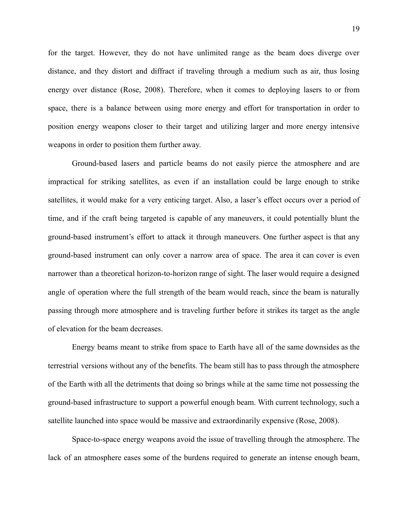for the target. However, they do not have unlimited range as the beam does diverge over distance, and they distort and diffract if traveling through a medium such as air, thus losing energy over distance (Rose, 2008). Therefore, when it comes to deploying lasers to or from space, there is a balance between using more energy and effort for transportation in order to position energy weapons closer to their target and utilizing larger and more energy intensive weapons in order to position them further away.

Ground-based lasers and particle beams do not easily pierce the atmosphere and are impractical for striking satellites, as even if an installation could be large enough to strike satellites, it would make for a very enticing target. Also, a laser's effect occurs over a period of time, and if the craft being targeted is capable of any maneuvers, it could potentially blunt the ground-based instrument's effort to attack it through maneuvers. One further aspect is that any ground-based instrument can only cover a narrow area of space. The area it can cover is even narrower than a theoretical horizon-to-horizon range of sight. The laser would require a designed angle of operation where the full strength of the beam would reach, since the beam is naturally passing through more atmosphere and is traveling further before it strikes its target as the angle of elevation for the beam decreases.

Energy beams meant to strike from space to Earth have all of the same downsides as the terrestrial versions without any of the benefits. The beam still has to pass through the atmosphere of the Earth with all the detriments that doing so brings while at the same time not possessing the ground-based infrastructure to support a powerful enough beam. With current technology, such a satellite launched into space would be massive and extraordinarily expensive (Rose, 2008).

Space-to-space energy weapons avoid the issue of travelling through the atmosphere. The lack of an atmosphere eases some of the burdens required to generate an intense enough beam,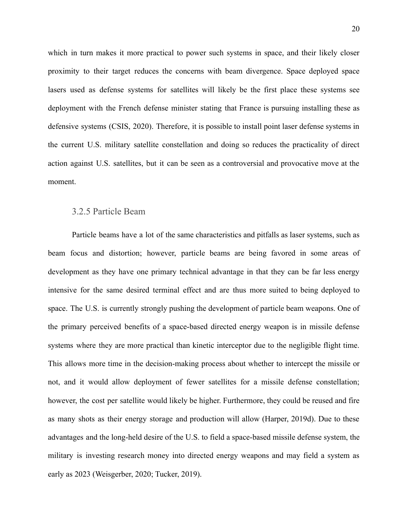which in turn makes it more practical to power such systems in space, and their likely closer proximity to their target reduces the concerns with beam divergence. Space deployed space lasers used as defense systems for satellites will likely be the first place these systems see deployment with the French defense minister stating that France is pursuing installing these as defensive systems (CSIS, 2020). Therefore, it is possible to install point laser defense systems in the current U.S. military satellite constellation and doing so reduces the practicality of direct action against U.S. satellites, but it can be seen as a controversial and provocative move at the moment.

#### <span id="page-21-0"></span>3.2.5 Particle Beam

Particle beams have a lot of the same characteristics and pitfalls as laser systems, such as beam focus and distortion; however, particle beams are being favored in some areas of development as they have one primary technical advantage in that they can be far less energy intensive for the same desired terminal effect and are thus more suited to being deployed to space. The U.S. is currently strongly pushing the development of particle beam weapons. One of the primary perceived benefits of a space-based directed energy weapon is in missile defense systems where they are more practical than kinetic interceptor due to the negligible flight time. This allows more time in the decision-making process about whether to intercept the missile or not, and it would allow deployment of fewer satellites for a missile defense constellation; however, the cost per satellite would likely be higher. Furthermore, they could be reused and fire as many shots as their energy storage and production will allow (Harper, 2019d). Due to these advantages and the long-held desire of the U.S. to field a space-based missile defense system, the military is investing research money into directed energy weapons and may field a system as early as 2023 (Weisgerber, 2020; Tucker, 2019).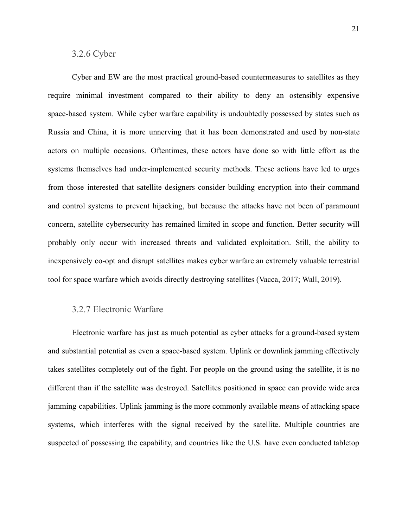#### <span id="page-22-0"></span>3.2.6 Cyber

Cyber and EW are the most practical ground-based countermeasures to satellites as they require minimal investment compared to their ability to deny an ostensibly expensive space-based system. While cyber warfare capability is undoubtedly possessed by states such as Russia and China, it is more unnerving that it has been demonstrated and used by non-state actors on multiple occasions. Oftentimes, these actors have done so with little effort as the systems themselves had under-implemented security methods. These actions have led to urges from those interested that satellite designers consider building encryption into their command and control systems to prevent hijacking, but because the attacks have not been of paramount concern, satellite cybersecurity has remained limited in scope and function. Better security will probably only occur with increased threats and validated exploitation. Still, the ability to inexpensively co-opt and disrupt satellites makes cyber warfare an extremely valuable terrestrial tool for space warfare which avoids directly destroying satellites (Vacca, 2017; Wall, 2019).

#### <span id="page-22-1"></span>3.2.7 Electronic Warfare

Electronic warfare has just as much potential as cyber attacks for a ground-based system and substantial potential as even a space-based system. Uplink or downlink jamming effectively takes satellites completely out of the fight. For people on the ground using the satellite, it is no different than if the satellite was destroyed. Satellites positioned in space can provide wide area jamming capabilities. Uplink jamming is the more commonly available means of attacking space systems, which interferes with the signal received by the satellite. Multiple countries are suspected of possessing the capability, and countries like the U.S. have even conducted tabletop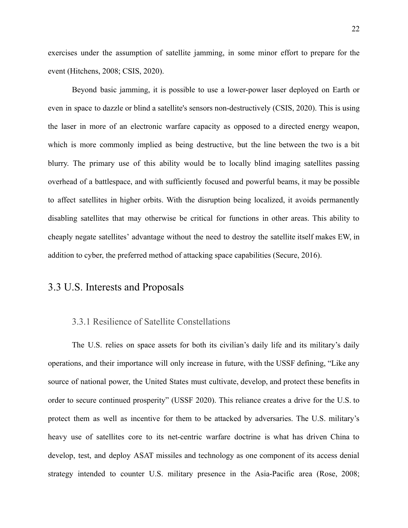exercises under the assumption of satellite jamming, in some minor effort to prepare for the event (Hitchens, 2008; CSIS, 2020).

Beyond basic jamming, it is possible to use a lower-power laser deployed on Earth or even in space to dazzle or blind a satellite's sensors non-destructively (CSIS, 2020). This is using the laser in more of an electronic warfare capacity as opposed to a directed energy weapon, which is more commonly implied as being destructive, but the line between the two is a bit blurry. The primary use of this ability would be to locally blind imaging satellites passing overhead of a battlespace, and with sufficiently focused and powerful beams, it may be possible to affect satellites in higher orbits. With the disruption being localized, it avoids permanently disabling satellites that may otherwise be critical for functions in other areas. This ability to cheaply negate satellites' advantage without the need to destroy the satellite itself makes EW, in addition to cyber, the preferred method of attacking space capabilities (Secure, 2016).

### <span id="page-23-0"></span>3.3 U.S. Interests and Proposals

#### <span id="page-23-1"></span>3.3.1 Resilience of Satellite Constellations

The U.S. relies on space assets for both its civilian's daily life and its military's daily operations, and their importance will only increase in future, with the USSF defining, "Like any source of national power, the United States must cultivate, develop, and protect these benefits in order to secure continued prosperity" (USSF 2020). This reliance creates a drive for the U.S. to protect them as well as incentive for them to be attacked by adversaries. The U.S. military's heavy use of satellites core to its net-centric warfare doctrine is what has driven China to develop, test, and deploy ASAT missiles and technology as one component of its access denial strategy intended to counter U.S. military presence in the Asia-Pacific area (Rose, 2008;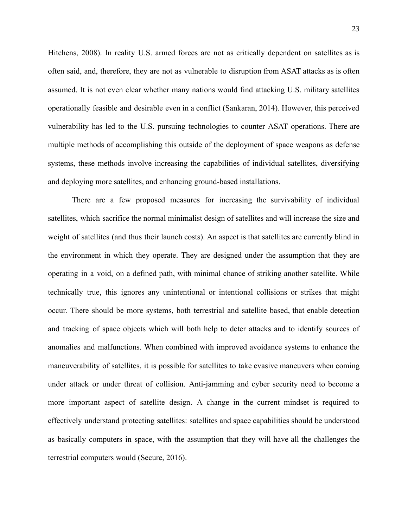Hitchens, 2008). In reality U.S. armed forces are not as critically dependent on satellites as is often said, and, therefore, they are not as vulnerable to disruption from ASAT attacks as is often assumed. It is not even clear whether many nations would find attacking U.S. military satellites operationally feasible and desirable even in a conflict (Sankaran, 2014). However, this perceived vulnerability has led to the U.S. pursuing technologies to counter ASAT operations. There are multiple methods of accomplishing this outside of the deployment of space weapons as defense systems, these methods involve increasing the capabilities of individual satellites, diversifying and deploying more satellites, and enhancing ground-based installations.

There are a few proposed measures for increasing the survivability of individual satellites, which sacrifice the normal minimalist design of satellites and will increase the size and weight of satellites (and thus their launch costs). An aspect is that satellites are currently blind in the environment in which they operate. They are designed under the assumption that they are operating in a void, on a defined path, with minimal chance of striking another satellite. While technically true, this ignores any unintentional or intentional collisions or strikes that might occur. There should be more systems, both terrestrial and satellite based, that enable detection and tracking of space objects which will both help to deter attacks and to identify sources of anomalies and malfunctions. When combined with improved avoidance systems to enhance the maneuverability of satellites, it is possible for satellites to take evasive maneuvers when coming under attack or under threat of collision. Anti-jamming and cyber security need to become a more important aspect of satellite design. A change in the current mindset is required to effectively understand protecting satellites: satellites and space capabilities should be understood as basically computers in space, with the assumption that they will have all the challenges the terrestrial computers would (Secure, 2016).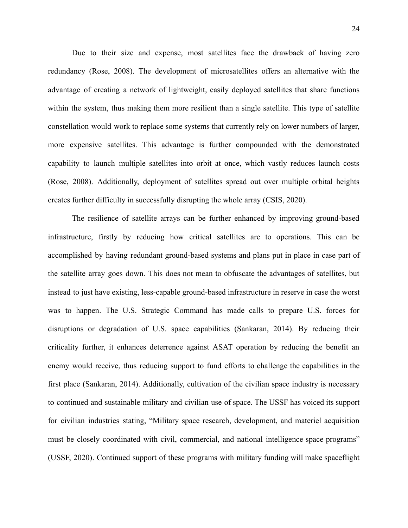Due to their size and expense, most satellites face the drawback of having zero redundancy (Rose, 2008). The development of microsatellites offers an alternative with the advantage of creating a network of lightweight, easily deployed satellites that share functions within the system, thus making them more resilient than a single satellite. This type of satellite constellation would work to replace some systems that currently rely on lower numbers of larger, more expensive satellites. This advantage is further compounded with the demonstrated capability to launch multiple satellites into orbit at once, which vastly reduces launch costs (Rose, 2008). Additionally, deployment of satellites spread out over multiple orbital heights creates further difficulty in successfully disrupting the whole array (CSIS, 2020).

The resilience of satellite arrays can be further enhanced by improving ground-based infrastructure, firstly by reducing how critical satellites are to operations. This can be accomplished by having redundant ground-based systems and plans put in place in case part of the satellite array goes down. This does not mean to obfuscate the advantages of satellites, but instead to just have existing, less-capable ground-based infrastructure in reserve in case the worst was to happen. The U.S. Strategic Command has made calls to prepare U.S. forces for disruptions or degradation of U.S. space capabilities (Sankaran, 2014). By reducing their criticality further, it enhances deterrence against ASAT operation by reducing the benefit an enemy would receive, thus reducing support to fund efforts to challenge the capabilities in the first place (Sankaran, 2014). Additionally, cultivation of the civilian space industry is necessary to continued and sustainable military and civilian use of space. The USSF has voiced its support for civilian industries stating, "Military space research, development, and materiel acquisition must be closely coordinated with civil, commercial, and national intelligence space programs" (USSF, 2020). Continued support of these programs with military funding will make spaceflight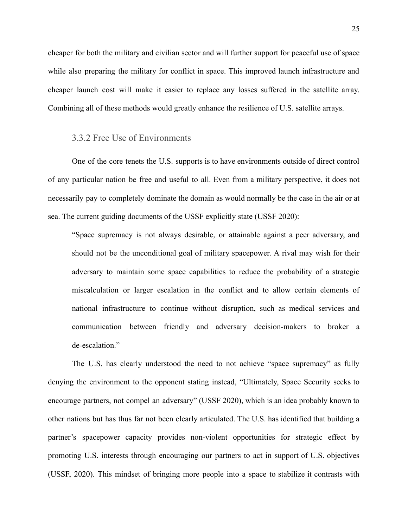cheaper for both the military and civilian sector and will further support for peaceful use of space while also preparing the military for conflict in space. This improved launch infrastructure and cheaper launch cost will make it easier to replace any losses suffered in the satellite array. Combining all of these methods would greatly enhance the resilience of U.S. satellite arrays.

#### <span id="page-26-0"></span>3.3.2 Free Use of Environments

One of the core tenets the U.S. supports is to have environments outside of direct control of any particular nation be free and useful to all. Even from a military perspective, it does not necessarily pay to completely dominate the domain as would normally be the case in the air or at sea. The current guiding documents of the USSF explicitly state (USSF 2020):

"Space supremacy is not always desirable, or attainable against a peer adversary, and should not be the unconditional goal of military spacepower. A rival may wish for their adversary to maintain some space capabilities to reduce the probability of a strategic miscalculation or larger escalation in the conflict and to allow certain elements of national infrastructure to continue without disruption, such as medical services and communication between friendly and adversary decision-makers to broker a de-escalation."

The U.S. has clearly understood the need to not achieve "space supremacy" as fully denying the environment to the opponent stating instead, "Ultimately, Space Security seeks to encourage partners, not compel an adversary" (USSF 2020), which is an idea probably known to other nations but has thus far not been clearly articulated. The U.S. has identified that building a partner's spacepower capacity provides non-violent opportunities for strategic effect by promoting U.S. interests through encouraging our partners to act in support of U.S. objectives (USSF, 2020). This mindset of bringing more people into a space to stabilize it contrasts with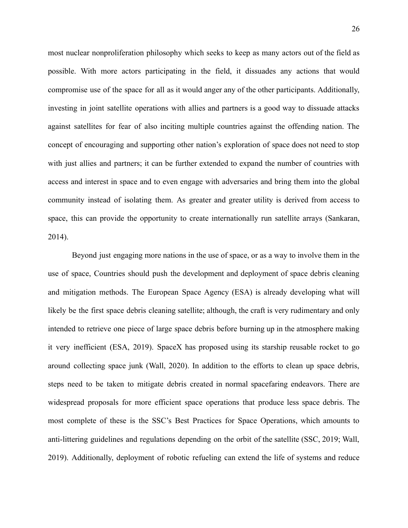most nuclear nonproliferation philosophy which seeks to keep as many actors out of the field as possible. With more actors participating in the field, it dissuades any actions that would compromise use of the space for all as it would anger any of the other participants. Additionally, investing in joint satellite operations with allies and partners is a good way to dissuade attacks against satellites for fear of also inciting multiple countries against the offending nation. The concept of encouraging and supporting other nation's exploration of space does not need to stop with just allies and partners; it can be further extended to expand the number of countries with access and interest in space and to even engage with adversaries and bring them into the global community instead of isolating them. As greater and greater utility is derived from access to space, this can provide the opportunity to create internationally run satellite arrays (Sankaran, 2014).

Beyond just engaging more nations in the use of space, or as a way to involve them in the use of space, Countries should push the development and deployment of space debris cleaning and mitigation methods. The European Space Agency (ESA) is already developing what will likely be the first space debris cleaning satellite; although, the craft is very rudimentary and only intended to retrieve one piece of large space debris before burning up in the atmosphere making it very inefficient (ESA, 2019). SpaceX has proposed using its starship reusable rocket to go around collecting space junk (Wall, 2020). In addition to the efforts to clean up space debris, steps need to be taken to mitigate debris created in normal spacefaring endeavors. There are widespread proposals for more efficient space operations that produce less space debris. The most complete of these is the SSC's Best Practices for Space Operations, which amounts to anti-littering guidelines and regulations depending on the orbit of the satellite (SSC, 2019; Wall, 2019). Additionally, deployment of robotic refueling can extend the life of systems and reduce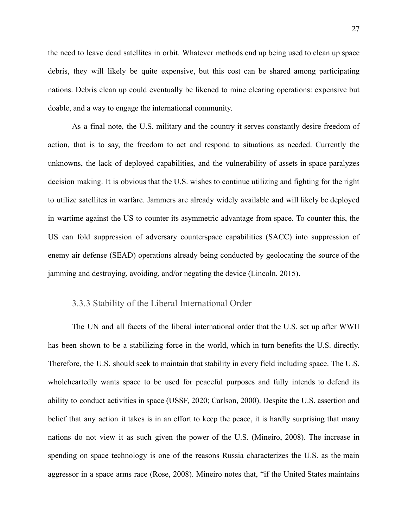the need to leave dead satellites in orbit. Whatever methods end up being used to clean up space debris, they will likely be quite expensive, but this cost can be shared among participating nations. Debris clean up could eventually be likened to mine clearing operations: expensive but doable, and a way to engage the international community.

As a final note, the U.S. military and the country it serves constantly desire freedom of action, that is to say, the freedom to act and respond to situations as needed. Currently the unknowns, the lack of deployed capabilities, and the vulnerability of assets in space paralyzes decision making. It is obvious that the U.S. wishes to continue utilizing and fighting for the right to utilize satellites in warfare. Jammers are already widely available and will likely be deployed in wartime against the US to counter its asymmetric advantage from space. To counter this, the US can fold suppression of adversary counterspace capabilities (SACC) into suppression of enemy air defense (SEAD) operations already being conducted by geolocating the source of the jamming and destroying, avoiding, and/or negating the device (Lincoln, 2015).

#### <span id="page-28-0"></span>3.3.3 Stability of the Liberal International Order

The UN and all facets of the liberal international order that the U.S. set up after WWII has been shown to be a stabilizing force in the world, which in turn benefits the U.S. directly. Therefore, the U.S. should seek to maintain that stability in every field including space. The U.S. wholeheartedly wants space to be used for peaceful purposes and fully intends to defend its ability to conduct activities in space (USSF, 2020; Carlson, 2000). Despite the U.S. assertion and belief that any action it takes is in an effort to keep the peace, it is hardly surprising that many nations do not view it as such given the power of the U.S. (Mineiro, 2008). The increase in spending on space technology is one of the reasons Russia characterizes the U.S. as the main aggressor in a space arms race (Rose, 2008). Mineiro notes that, "if the United States maintains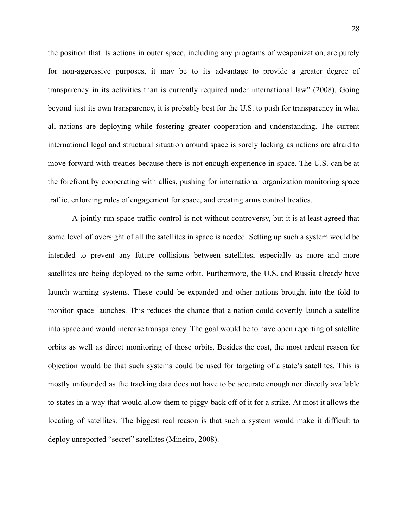the position that its actions in outer space, including any programs of weaponization, are purely for non-aggressive purposes, it may be to its advantage to provide a greater degree of transparency in its activities than is currently required under international law" (2008). Going beyond just its own transparency, it is probably best for the U.S. to push for transparency in what all nations are deploying while fostering greater cooperation and understanding. The current international legal and structural situation around space is sorely lacking as nations are afraid to move forward with treaties because there is not enough experience in space. The U.S. can be at the forefront by cooperating with allies, pushing for international organization monitoring space traffic, enforcing rules of engagement for space, and creating arms control treaties.

A jointly run space traffic control is not without controversy, but it is at least agreed that some level of oversight of all the satellites in space is needed. Setting up such a system would be intended to prevent any future collisions between satellites, especially as more and more satellites are being deployed to the same orbit. Furthermore, the U.S. and Russia already have launch warning systems. These could be expanded and other nations brought into the fold to monitor space launches. This reduces the chance that a nation could covertly launch a satellite into space and would increase transparency. The goal would be to have open reporting of satellite orbits as well as direct monitoring of those orbits. Besides the cost, the most ardent reason for objection would be that such systems could be used for targeting of a state's satellites. This is mostly unfounded as the tracking data does not have to be accurate enough nor directly available to states in a way that would allow them to piggy-back off of it for a strike. At most it allows the locating of satellites. The biggest real reason is that such a system would make it difficult to deploy unreported "secret" satellites (Mineiro, 2008).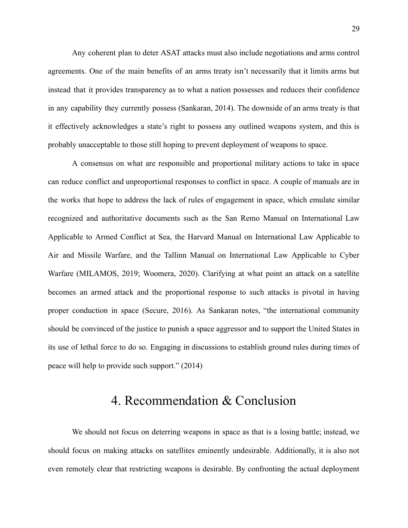Any coherent plan to deter ASAT attacks must also include negotiations and arms control agreements. One of the main benefits of an arms treaty isn't necessarily that it limits arms but instead that it provides transparency as to what a nation possesses and reduces their confidence in any capability they currently possess (Sankaran, 2014). The downside of an arms treaty is that it effectively acknowledges a state's right to possess any outlined weapons system, and this is probably unacceptable to those still hoping to prevent deployment of weapons to space.

A consensus on what are responsible and proportional military actions to take in space can reduce conflict and unproportional responses to conflict in space. A couple of manuals are in the works that hope to address the lack of rules of engagement in space, which emulate similar recognized and authoritative documents such as the San Remo Manual on International Law Applicable to Armed Conflict at Sea, the Harvard Manual on International Law Applicable to Air and Missile Warfare, and the Tallinn Manual on International Law Applicable to Cyber Warfare (MILAMOS, 2019; Woomera, 2020). Clarifying at what point an attack on a satellite becomes an armed attack and the proportional response to such attacks is pivotal in having proper conduction in space (Secure, 2016). As Sankaran notes, "the international community should be convinced of the justice to punish a space aggressor and to support the United States in its use of lethal force to do so. Engaging in discussions to establish ground rules during times of peace will help to provide such support." (2014)

## 4. Recommendation & Conclusion

<span id="page-30-0"></span>We should not focus on deterring weapons in space as that is a losing battle; instead, we should focus on making attacks on satellites eminently undesirable. Additionally, it is also not even remotely clear that restricting weapons is desirable. By confronting the actual deployment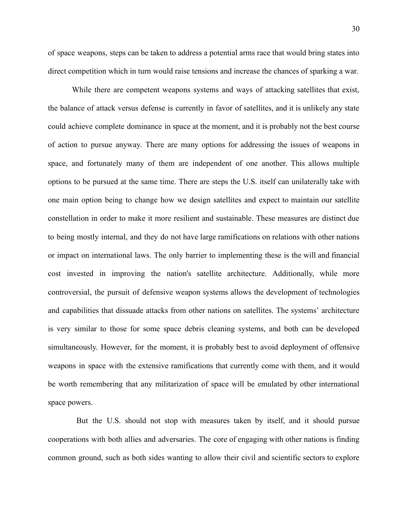of space weapons, steps can be taken to address a potential arms race that would bring states into direct competition which in turn would raise tensions and increase the chances of sparking a war.

While there are competent weapons systems and ways of attacking satellites that exist, the balance of attack versus defense is currently in favor of satellites, and it is unlikely any state could achieve complete dominance in space at the moment, and it is probably not the best course of action to pursue anyway. There are many options for addressing the issues of weapons in space, and fortunately many of them are independent of one another. This allows multiple options to be pursued at the same time. There are steps the U.S. itself can unilaterally take with one main option being to change how we design satellites and expect to maintain our satellite constellation in order to make it more resilient and sustainable. These measures are distinct due to being mostly internal, and they do not have large ramifications on relations with other nations or impact on international laws. The only barrier to implementing these is the will and financial cost invested in improving the nation's satellite architecture. Additionally, while more controversial, the pursuit of defensive weapon systems allows the development of technologies and capabilities that dissuade attacks from other nations on satellites. The systems' architecture is very similar to those for some space debris cleaning systems, and both can be developed simultaneously. However, for the moment, it is probably best to avoid deployment of offensive weapons in space with the extensive ramifications that currently come with them, and it would be worth remembering that any militarization of space will be emulated by other international space powers.

But the U.S. should not stop with measures taken by itself, and it should pursue cooperations with both allies and adversaries. The core of engaging with other nations is finding common ground, such as both sides wanting to allow their civil and scientific sectors to explore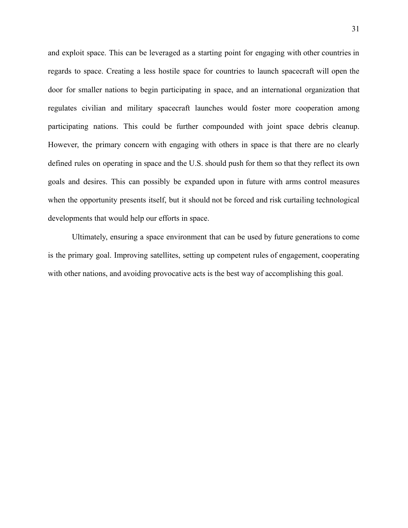and exploit space. This can be leveraged as a starting point for engaging with other countries in regards to space. Creating a less hostile space for countries to launch spacecraft will open the door for smaller nations to begin participating in space, and an international organization that regulates civilian and military spacecraft launches would foster more cooperation among participating nations. This could be further compounded with joint space debris cleanup. However, the primary concern with engaging with others in space is that there are no clearly defined rules on operating in space and the U.S. should push for them so that they reflect its own goals and desires. This can possibly be expanded upon in future with arms control measures when the opportunity presents itself, but it should not be forced and risk curtailing technological developments that would help our efforts in space.

Ultimately, ensuring a space environment that can be used by future generations to come is the primary goal. Improving satellites, setting up competent rules of engagement, cooperating with other nations, and avoiding provocative acts is the best way of accomplishing this goal.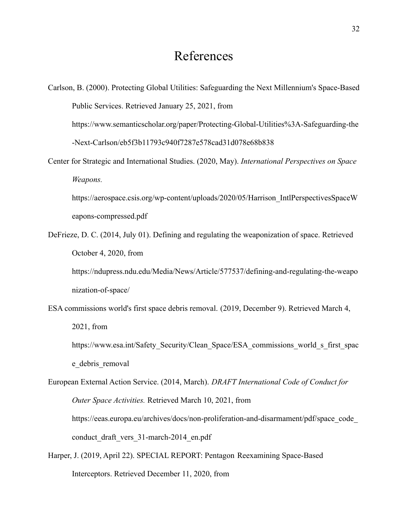### References

<span id="page-33-0"></span>Carlson, B. (2000). Protecting Global Utilities: Safeguarding the Next Millennium's Space-Based Public Services. Retrieved January 25, 2021, from https://www.semanticscholar.org/paper/Protecting-Global-Utilities%3A-Safeguarding-the -Next-Carlson/eb5f3b11793c940f7287e578cad31d078e68b838 Center for Strategic and International Studies. (2020, May). *International Perspectives on Space Weapons.* https://aerospace.csis.org/wp-content/uploads/2020/05/Harrison\_IntlPerspectivesSpaceW eapons-compressed.pdf DeFrieze, D. C. (2014, July 01). Defining and regulating the weaponization of space. Retrieved October 4, 2020, from https://ndupress.ndu.edu/Media/News/Article/577537/defining-and-regulating-the-weapo nization-of-space/ ESA commissions world's first space debris removal. (2019, December 9). Retrieved March 4, 2021, from https://www.esa.int/Safety\_Security/Clean\_Space/ESA\_commissions\_world\_s\_first\_spac e debris removal European External Action Service. (2014, March). *DRAFT International Code of Conduct for Outer Space Activities.* Retrieved March 10, 2021, from

https://eeas.europa.eu/archives/docs/non-proliferation-and-disarmament/pdf/space\_code\_ conduct draft vers 31-march-2014 en.pdf

Harper, J. (2019, April 22). SPECIAL REPORT: Pentagon Reexamining Space-Based Interceptors. Retrieved December 11, 2020, from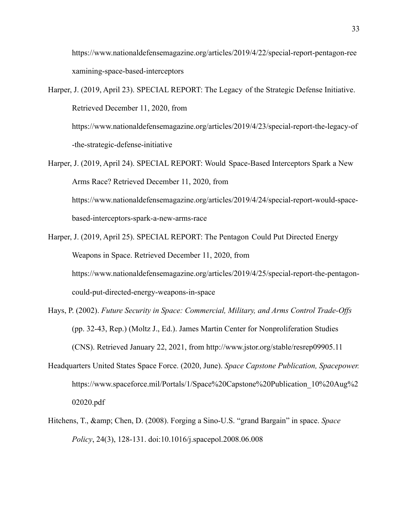https://www.nationaldefensemagazine.org/articles/2019/4/22/special-report-pentagon-ree xamining-space-based-interceptors

Harper, J. (2019, April 23). SPECIAL REPORT: The Legacy of the Strategic Defense Initiative. Retrieved December 11, 2020, from

https://www.nationaldefensemagazine.org/articles/2019/4/23/special-report-the-legacy-of -the-strategic-defense-initiative

- Harper, J. (2019, April 24). SPECIAL REPORT: Would Space-Based Interceptors Spark a New Arms Race? Retrieved December 11, 2020, from https://www.nationaldefensemagazine.org/articles/2019/4/24/special-report-would-spacebased-interceptors-spark-a-new-arms-race
- Harper, J. (2019, April 25). SPECIAL REPORT: The Pentagon Could Put Directed Energy Weapons in Space. Retrieved December 11, 2020, from https://www.nationaldefensemagazine.org/articles/2019/4/25/special-report-the-pentagoncould-put-directed-energy-weapons-in-space
- Hays, P. (2002). *Future Security in Space: Commercial, Military, and Arms Control Trade-Offs* (pp. 32-43, Rep.) (Moltz J., Ed.). James Martin Center for Nonproliferation Studies (CNS). Retrieved January 22, 2021, from http://www.jstor.org/stable/resrep09905.11
- Headquarters United States Space Force. (2020, June). *Space Capstone Publication, Spacepower.* https://www.spaceforce.mil/Portals/1/Space%20Capstone%20Publication\_10%20Aug%2 02020.pdf
- Hitchens, T., & amp; Chen, D. (2008). Forging a Sino-U.S. "grand Bargain" in space. *Space Policy*, 24(3), 128-131. doi:10.1016/j.spacepol.2008.06.008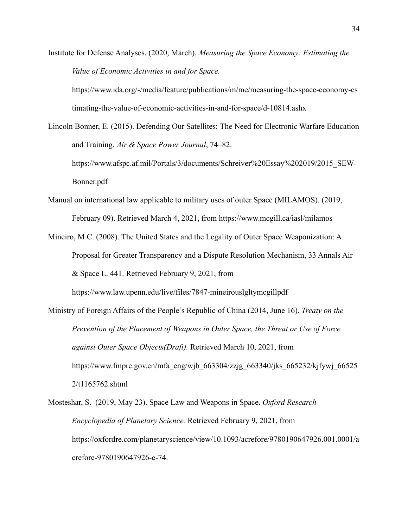Institute for Defense Analyses. (2020, March). *Measuring the Space Economy: Estimating the Value of Economic Activities in and for Space.*

https://www.ida.org/-/media/feature/publications/m/me/measuring-the-space-economy-es timating-the-value-of-economic-activities-in-and-for-space/d-10814.ashx

Lincoln Bonner, E. (2015). Defending Our Satellites: The Need for Electronic Warfare Education and Training. *Air & Space Power Journal*, 74–82. https://www.afspc.af.mil/Portals/3/documents/Schreiver%20Essay%202019/2015\_SEW-Bonner.pdf

- Manual on international law applicable to military uses of outer Space (MILAMOS). (2019, February 09). Retrieved March 4, 2021, from https://www.mcgill.ca/iasl/milamos
- Mineiro, M C. (2008). The United States and the Legality of Outer Space Weaponization: A Proposal for Greater Transparency and a Dispute Resolution Mechanism, 33 Annals Air & Space L. 441. Retrieved February 9, 2021, from

https://www.law.upenn.edu/live/files/7847-mineirouslgltymcgillpdf

Ministry of Foreign Affairs of the People's Republic of China (2014, June 16). *Treaty on the Prevention of the Placement of Weapons in Outer Space, the Threat or Use of Force against Outer Space Objects(Draft).* Retrieved March 10, 2021, from https://www.fmprc.gov.cn/mfa\_eng/wjb\_663304/zzjg\_663340/jks\_665232/kjfywj\_66525 2/t1165762.shtml

Mosteshar, S. (2019, May 23). Space Law and Weapons in Space. *Oxford Research Encyclopedia of Planetary Science.* Retrieved February 9, 2021, from https://oxfordre.com/planetaryscience/view/10.1093/acrefore/9780190647926.001.0001/a crefore-9780190647926-e-74.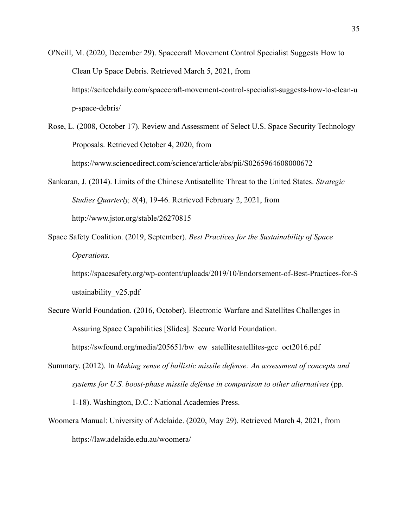- O'Neill, M. (2020, December 29). Spacecraft Movement Control Specialist Suggests How to Clean Up Space Debris. Retrieved March 5, 2021, from https://scitechdaily.com/spacecraft-movement-control-specialist-suggests-how-to-clean-u p-space-debris/
- Rose, L. (2008, October 17). Review and Assessment of Select U.S. Space Security Technology Proposals. Retrieved October 4, 2020, from https://www.sciencedirect.com/science/article/abs/pii/S0265964608000672
- Sankaran, J. (2014). Limits of the Chinese Antisatellite Threat to the United States. *Strategic Studies Quarterly, 8*(4), 19-46. Retrieved February 2, 2021, from http://www.jstor.org/stable/26270815
- Space Safety Coalition. (2019, September). *Best Practices for the Sustainability of Space Operations.*

https://spacesafety.org/wp-content/uploads/2019/10/Endorsement-of-Best-Practices-for-S ustainability\_v25.pdf

- Secure World Foundation. (2016, October). Electronic Warfare and Satellites Challenges in Assuring Space Capabilities [Slides]. Secure World Foundation. https://swfound.org/media/205651/bw ew satellitesatellites-gcc oct2016.pdf
- Summary. (2012). In *Making sense of ballistic missile defense: An assessment of concepts and systems for U.S. boost-phase missile defense in comparison to other alternatives* (pp. 1-18). Washington, D.C.: National Academies Press.
- Woomera Manual: University of Adelaide. (2020, May 29). Retrieved March 4, 2021, from https://law.adelaide.edu.au/woomera/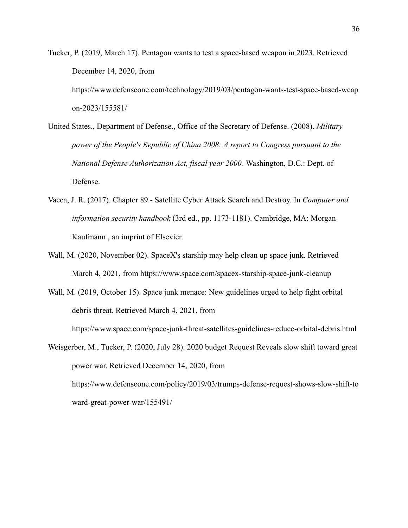Tucker, P. (2019, March 17). Pentagon wants to test a space-based weapon in 2023. Retrieved December 14, 2020, from https://www.defenseone.com/technology/2019/03/pentagon-wants-test-space-based-weap on-2023/155581/

- United States., Department of Defense., Office of the Secretary of Defense. (2008). *Military power of the People's Republic of China 2008: A report to Congress pursuant to the National Defense Authorization Act, fiscal year 2000.* Washington, D.C.: Dept. of Defense.
- Vacca, J. R. (2017). Chapter 89 Satellite Cyber Attack Search and Destroy. In *Computer and information security handbook* (3rd ed., pp. 1173-1181). Cambridge, MA: Morgan Kaufmann , an imprint of Elsevier.
- Wall, M. (2020, November 02). SpaceX's starship may help clean up space junk. Retrieved March 4, 2021, from https://www.space.com/spacex-starship-space-junk-cleanup

Wall, M. (2019, October 15). Space junk menace: New guidelines urged to help fight orbital debris threat. Retrieved March 4, 2021, from https://www.space.com/space-junk-threat-satellites-guidelines-reduce-orbital-debris.html

Weisgerber, M., Tucker, P. (2020, July 28). 2020 budget Request Reveals slow shift toward great power war. Retrieved December 14, 2020, from https://www.defenseone.com/policy/2019/03/trumps-defense-request-shows-slow-shift-to ward-great-power-war/155491/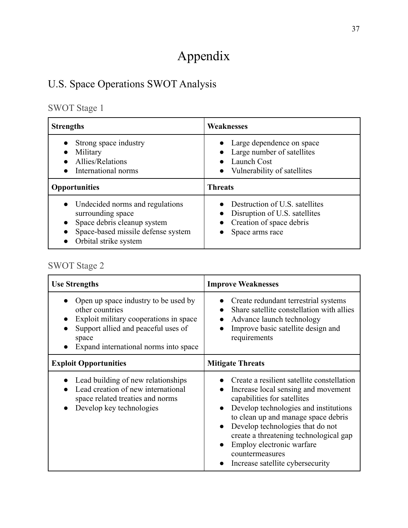# Appendix

## <span id="page-38-1"></span><span id="page-38-0"></span>U.S. Space Operations SWOT Analysis

## <span id="page-38-2"></span>SWOT Stage 1

| <b>Strengths</b>                                                                                                                                                | <b>Weaknesses</b>                                                                                                      |
|-----------------------------------------------------------------------------------------------------------------------------------------------------------------|------------------------------------------------------------------------------------------------------------------------|
| Strong space industry<br>Military<br>Allies/Relations<br>International norms                                                                                    | • Large dependence on space<br>Large number of satellites<br>Launch Cost<br>$\bullet$<br>• Vulnerability of satellites |
| <b>Opportunities</b>                                                                                                                                            | <b>Threats</b>                                                                                                         |
| Undecided norms and regulations<br>$\bullet$<br>surrounding space<br>Space debris cleanup system<br>Space-based missile defense system<br>Orbital strike system | Destruction of U.S. satellites<br>Disruption of U.S. satellites<br>Creation of space debris<br>Space arms race         |

## <span id="page-38-3"></span>SWOT Stage 2

| <b>Use Strengths</b>                                                                                                                                                                       | <b>Improve Weaknesses</b>                                                                                                                                                                                                                                                                                                                                                                                 |
|--------------------------------------------------------------------------------------------------------------------------------------------------------------------------------------------|-----------------------------------------------------------------------------------------------------------------------------------------------------------------------------------------------------------------------------------------------------------------------------------------------------------------------------------------------------------------------------------------------------------|
| Open up space industry to be used by<br>other countries<br>Exploit military cooperations in space<br>Support allied and peaceful uses of<br>space<br>Expand international norms into space | Create redundant terrestrial systems<br>Share satellite constellation with allies<br>Advance launch technology<br>Improve basic satellite design and<br>requirements                                                                                                                                                                                                                                      |
| <b>Exploit Opportunities</b>                                                                                                                                                               | <b>Mitigate Threats</b>                                                                                                                                                                                                                                                                                                                                                                                   |
| Lead building of new relationships<br>Lead creation of new international<br>space related treaties and norms<br>Develop key technologies                                                   | Create a resilient satellite constellation<br>Increase local sensing and movement<br>$\bullet$<br>capabilities for satellites<br>Develop technologies and institutions<br>$\bullet$<br>to clean up and manage space debris<br>Develop technologies that do not<br>$\bullet$<br>create a threatening technological gap<br>Employ electronic warfare<br>countermeasures<br>Increase satellite cybersecurity |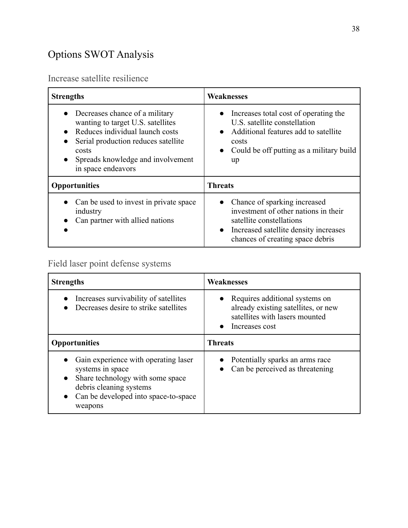## <span id="page-39-0"></span>Options SWOT Analysis

### <span id="page-39-1"></span>Increase satellite resilience

| <b>Strengths</b>                                                                                                                                                                                                               | <b>Weaknesses</b>                                                                                                                                                                            |
|--------------------------------------------------------------------------------------------------------------------------------------------------------------------------------------------------------------------------------|----------------------------------------------------------------------------------------------------------------------------------------------------------------------------------------------|
| Decreases chance of a military<br>wanting to target U.S. satellites<br>Reduces individual launch costs<br>Serial production reduces satellite<br>$\bullet$<br>costs<br>Spreads knowledge and involvement<br>in space endeavors | • Increases total cost of operating the<br>U.S. satellite constellation<br>Additional features add to satellite<br>costs<br>• Could be off putting as a military build<br>up                 |
| <b>Opportunities</b>                                                                                                                                                                                                           | <b>Threats</b>                                                                                                                                                                               |
| Can be used to invest in private space<br>industry<br>Can partner with allied nations                                                                                                                                          | Chance of sparking increased<br>$\bullet$<br>investment of other nations in their<br>satellite constellations<br>• Increased satellite density increases<br>chances of creating space debris |

## <span id="page-39-2"></span>Field laser point defense systems

| <b>Strengths</b>                                                                                                                                                           | <b>Weaknesses</b>                                                                                                                        |
|----------------------------------------------------------------------------------------------------------------------------------------------------------------------------|------------------------------------------------------------------------------------------------------------------------------------------|
| Increases survivability of satellites<br>Decreases desire to strike satellites                                                                                             | • Requires additional systems on<br>already existing satellites, or new<br>satellites with lasers mounted<br>Increases cost<br>$\bullet$ |
| <b>Opportunities</b>                                                                                                                                                       | <b>Threats</b>                                                                                                                           |
| Gain experience with operating laser<br>systems in space<br>Share technology with some space<br>debris cleaning systems<br>Can be developed into space-to-space<br>weapons | Potentially sparks an arms race<br>Can be perceived as threatening                                                                       |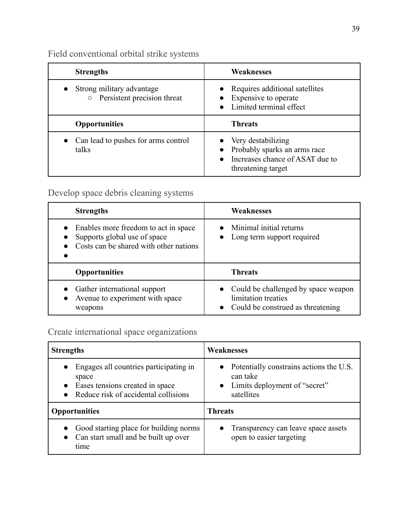Field conventional orbital strike systems

| <b>Strengths</b>                                                    | <b>Weaknesses</b>                                                                                                            |
|---------------------------------------------------------------------|------------------------------------------------------------------------------------------------------------------------------|
| Strong military advantage<br>Persistent precision threat<br>$\circ$ | • Requires additional satellites<br>Expensive to operate<br>• Limited terminal effect                                        |
| <b>Opportunities</b>                                                | <b>Threats</b>                                                                                                               |
| Can lead to pushes for arms control<br>talks                        | • Very destabilizing<br>• Probably sparks an arms race<br>Increases chance of ASAT due to<br>$\bullet$<br>threatening target |

### <span id="page-40-0"></span>Develop space debris cleaning systems

| <b>Strengths</b>                                                                                               | <b>Weaknesses</b>                                                                               |
|----------------------------------------------------------------------------------------------------------------|-------------------------------------------------------------------------------------------------|
| Enables more freedom to act in space<br>Supports global use of space<br>Costs can be shared with other nations | Minimal initial returns<br>Long term support required                                           |
| <b>Opportunities</b>                                                                                           | <b>Threats</b>                                                                                  |
| Gather international support<br>Avenue to experiment with space<br>weapons                                     | Could be challenged by space weapon<br>limitation treaties<br>Could be construed as threatening |

### <span id="page-40-1"></span>Create international space organizations

| <b>Strengths</b>                       | <b>Weaknesses</b>                                 |
|----------------------------------------|---------------------------------------------------|
| Engages all countries participating in | $\bullet$ Potentially constrains actions the U.S. |
| space                                  | can take                                          |
| Eases tensions created in space        | • Limits deployment of "secret"                   |
| Reduce risk of accidental collisions   | satellites                                        |
| <b>Opportunities</b>                   | Threats                                           |
| Good starting place for building norms | Transparency can leave space assets               |
| Can start small and be built up over   | $\bullet$                                         |
| time                                   | open to easier targeting                          |